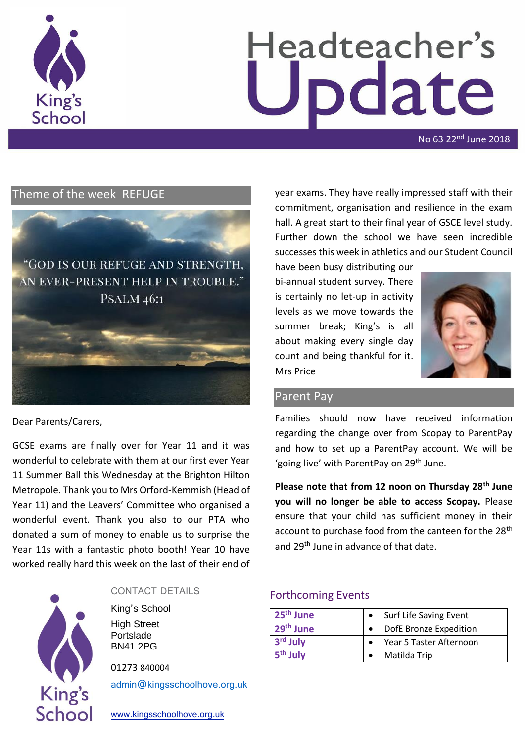

# Headteacher's pdate

No 63 22nd June 2018

# Theme of the week REFUGE



Dear Parents/Carers,

GCSE exams are finally over for Year 11 and it was wonderful to celebrate with them at our first ever Year 11 Summer Ball this Wednesday at the Brighton Hilton Metropole. Thank you to Mrs Orford-Kemmish (Head of Year 11) and the Leavers' Committee who organised a wonderful event. Thank you also to our PTA who donated a sum of money to enable us to surprise the Year 11s with a fantastic photo booth! Year 10 have worked really hard this week on the last of their end of



#### CONTACT DETAILS

King's School High Street Portslade BN41 2PG

01273 840004

[admin@kingsschoolhove.org.uk](mailto:admin@kingsschoolhove.org.uk)

[www.kingsschoolhove.org.uk](http://www.kingsschoolhove.org.uk/)

year exams. They have really impressed staff with their commitment, organisation and resilience in the exam hall. A great start to their final year of GSCE level study. Further down the school we have seen incredible successes this week in athletics and our Student Council

have been busy distributing our bi-annual student survey. There is certainly no let-up in activity levels as we move towards the summer break; King's is all about making every single day count and being thankful for it. Mrs Price



#### Parent Pay

Families should now have received information regarding the change over from Scopay to ParentPay and how to set up a ParentPay account. We will be 'going live' with ParentPay on 29<sup>th</sup> June.

**Please note that from 12 noon on Thursday 28th June you will no longer be able to access Scopay.** Please ensure that your child has sufficient money in their account to purchase food from the canteen for the 28<sup>th</sup> and 29<sup>th</sup> June in advance of that date.

#### Forthcoming Events

| 25 <sup>th</sup> June | Surf Life Saving Event  |
|-----------------------|-------------------------|
| 29 <sup>th</sup> June | DofE Bronze Expedition  |
| 3rd July              | Year 5 Taster Afternoon |
| 5 <sup>th</sup> July  | Matilda Trip            |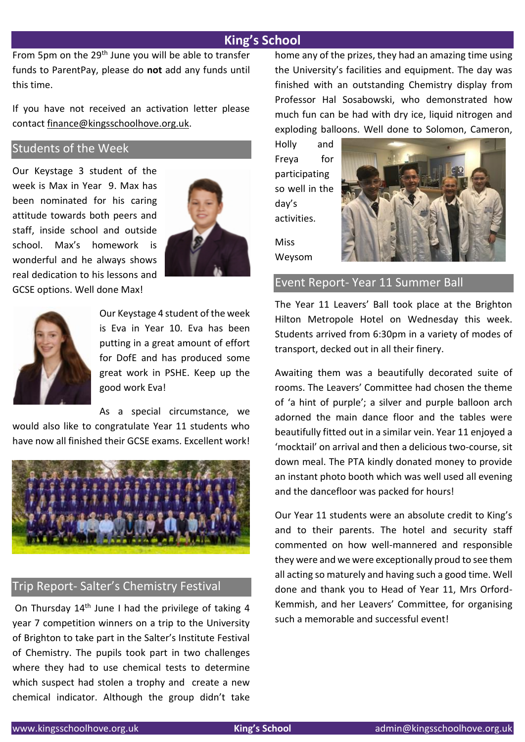From 5pm on the 29<sup>th</sup> June you will be able to transfer funds to ParentPay, please do **not** add any funds until this time.

If you have not received an activation letter please contact [finance@kingsschoolhove.org.uk.](mailto:finance@kingsschoolhove.org.uk)

#### Students of the Week

Our Keystage 3 student of the week is Max in Year 9. Max has been nominated for his caring attitude towards both peers and staff, inside school and outside school. Max's homework is wonderful and he always shows real dedication to his lessons and GCSE options. Well done Max!





Our Keystage 4 student of the week is Eva in Year 10. Eva has been putting in a great amount of effort for DofE and has produced some great work in PSHE. Keep up the good work Eva!

As a special circumstance, we

would also like to congratulate Year 11 students who have now all finished their GCSE exams. Excellent work!



#### Trip Report- Salter's Chemistry Festival

On Thursday  $14<sup>th</sup>$  June I had the privilege of taking 4 year 7 competition winners on a trip to the University of Brighton to take part in the Salter's Institute Festival of Chemistry. The pupils took part in two challenges where they had to use chemical tests to determine which suspect had stolen a trophy and create a new chemical indicator. Although the group didn't take

home any of the prizes, they had an amazing time using the University's facilities and equipment. The day was finished with an outstanding Chemistry display from Professor Hal Sosabowski, who demonstrated how much fun can be had with dry ice, liquid nitrogen and exploding balloons. Well done to Solomon, Cameron,

Holly and Freya for participating so well in the day's activities.

Miss Weysom



Event Report- Year 11 Summer Ball

The Year 11 Leavers' Ball took place at the Brighton Hilton Metropole Hotel on Wednesday this week. Students arrived from 6:30pm in a variety of modes of transport, decked out in all their finery.

Awaiting them was a beautifully decorated suite of rooms. The Leavers' Committee had chosen the theme of 'a hint of purple'; a silver and purple balloon arch adorned the main dance floor and the tables were beautifully fitted out in a similar vein. Year 11 enjoyed a 'mocktail' on arrival and then a delicious two-course, sit down meal. The PTA kindly donated money to provide an instant photo booth which was well used all evening and the dancefloor was packed for hours!

Our Year 11 students were an absolute credit to King's and to their parents. The hotel and security staff commented on how well-mannered and responsible they were and we were exceptionally proud to see them all acting so maturely and having such a good time. Well done and thank you to Head of Year 11, Mrs Orford-Kemmish, and her Leavers' Committee, for organising such a memorable and successful event!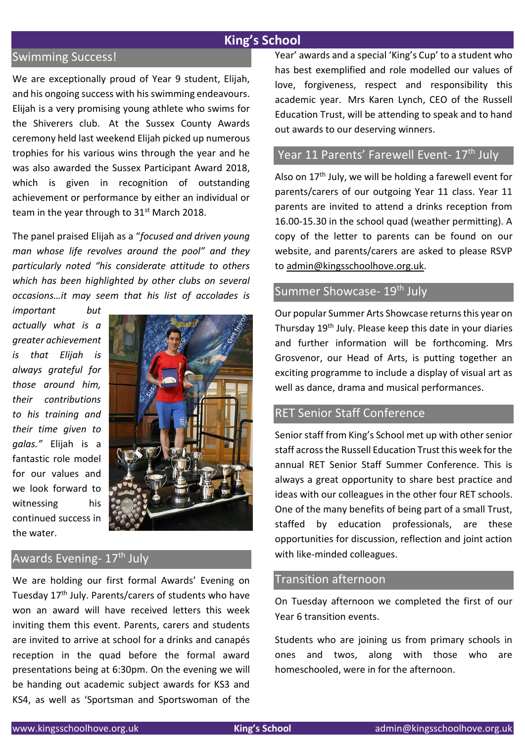## Swimming Success!

We are exceptionally proud of Year 9 student, Elijah, and his ongoing success with his swimming endeavours. Elijah is a very promising young athlete who swims for the Shiverers club. At the Sussex County Awards ceremony held last weekend Elijah picked up numerous trophies for his various wins through the year and he was also awarded the Sussex Participant Award 2018, which is given in recognition of outstanding achievement or performance by either an individual or team in the year through to  $31<sup>st</sup>$  March 2018.

The panel praised Elijah as a "*focused and driven young man whose life revolves around the pool" and they particularly noted "his considerate attitude to others which has been highlighted by other clubs on several occasions…it may seem that his list of accolades is* 

*important but actually what is a greater achievement is that Elijah is always grateful for those around him, their contributions to his training and their time given to galas."* Elijah is a fantastic role model for our values and we look forward to witnessing his continued success in the water.



## Awards Evening- 17<sup>th</sup> July

We are holding our first formal Awards' Evening on Tuesday 17<sup>th</sup> July. Parents/carers of students who have won an award will have received letters this week inviting them this event. Parents, carers and students are invited to arrive at school for a drinks and canapés reception in the quad before the formal award presentations being at 6:30pm. On the evening we will be handing out academic subject awards for KS3 and KS4, as well as 'Sportsman and Sportswoman of the Year' awards and a special 'King's Cup' to a student who has best exemplified and role modelled our values of love, forgiveness, respect and responsibility this academic year. Mrs Karen Lynch, CEO of the Russell Education Trust, will be attending to speak and to hand out awards to our deserving winners.

# Year 11 Parents' Farewell Event- 17<sup>th</sup> July

Also on 17<sup>th</sup> July, we will be holding a farewell event for parents/carers of our outgoing Year 11 class. Year 11 parents are invited to attend a drinks reception from 16.00-15.30 in the school quad (weather permitting). A copy of the letter to parents can be found on our website, and parents/carers are asked to please RSVP to [admin@kingsschoolhove.org.uk.](mailto:admin@kingsschoolhove.org.uk)

#### Summer Showcase- 19<sup>th</sup> July

Our popular Summer Arts Showcase returns this year on Thursday 19th July. Please keep this date in your diaries and further information will be forthcoming. Mrs Grosvenor, our Head of Arts, is putting together an exciting programme to include a display of visual art as well as dance, drama and musical performances.

# RET Senior Staff Conference

Senior staff from King's School met up with other senior staff across the Russell Education Trust this week for the annual RET Senior Staff Summer Conference. This is always a great opportunity to share best practice and ideas with our colleagues in the other four RET schools. One of the many benefits of being part of a small Trust, staffed by education professionals, are these opportunities for discussion, reflection and joint action with like-minded colleagues.

#### Transition afternoon

On Tuesday afternoon we completed the first of our Year 6 transition events.

Students who are joining us from primary schools in ones and twos, along with those who are homeschooled, were in for the afternoon.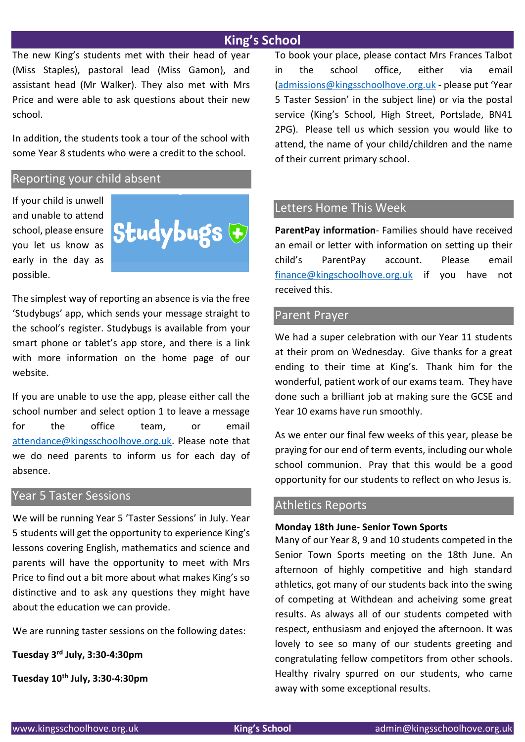The new King's students met with their head of year (Miss Staples), pastoral lead (Miss Gamon), and assistant head (Mr Walker). They also met with Mrs Price and were able to ask questions about their new school.

In addition, the students took a tour of the school with some Year 8 students who were a credit to the school.

#### Reporting your child absent

If your child is unwell and unable to attend school, please ensure you let us know as early in the day as possible.



The simplest way of reporting an absence is via the free 'Studybugs' app, which sends your message straight to the school's register. Studybugs is available from your smart phone or tablet's app store, and there is a link with more information on the home page of our website.

If you are unable to use the app, please either call the school number and select option 1 to leave a message for the office team, or email [attendance@kingsschoolhove.org.uk.](mailto:attendance@kingsschoolhove.org.uk) Please note that we do need parents to inform us for each day of absence.

#### Year 5 Taster Sessions

We will be running Year 5 'Taster Sessions' in July. Year 5 students will get the opportunity to experience King's lessons covering English, mathematics and science and parents will have the opportunity to meet with Mrs Price to find out a bit more about what makes King's so distinctive and to ask any questions they might have about the education we can provide.

We are running taster sessions on the following dates:

**Tuesday 3rd July, 3:30-4:30pm** 

**Tuesday 10th July, 3:30-4:30pm**

To book your place, please contact Mrs Frances Talbot in the school office, either via email [\(admissions@kingsschoolhove.org.uk](mailto:admissions@kingsschoolhove.org.uk) - please put 'Year 5 Taster Session' in the subject line) or via the postal service (King's School, High Street, Portslade, BN41 2PG). Please tell us which session you would like to attend, the name of your child/children and the name of their current primary school.

#### Letters Home This Week

**ParentPay information**- Families should have received an email or letter with information on setting up their child's ParentPay account. Please email [finance@kingschoolhove.org.uk](mailto:finance@kingschoolhove.org.uk) if you have not received this.

#### Parent Prayer

We had a super celebration with our Year 11 students at their prom on Wednesday. Give thanks for a great ending to their time at King's. Thank him for the wonderful, patient work of our exams team. They have done such a brilliant job at making sure the GCSE and Year 10 exams have run smoothly.

As we enter our final few weeks of this year, please be praying for our end of term events, including our whole school communion. Pray that this would be a good opportunity for our students to reflect on who Jesus is.

#### Athletics Reports

#### **Monday 18th June- Senior Town Sports**

Many of our Year 8, 9 and 10 students competed in the Senior Town Sports meeting on the 18th June. An afternoon of highly competitive and high standard athletics, got many of our students back into the swing of competing at Withdean and acheiving some great results. As always all of our students competed with respect, enthusiasm and enjoyed the afternoon. It was lovely to see so many of our students greeting and congratulating fellow competitors from other schools. Healthy rivalry spurred on our students, who came away with some exceptional results.